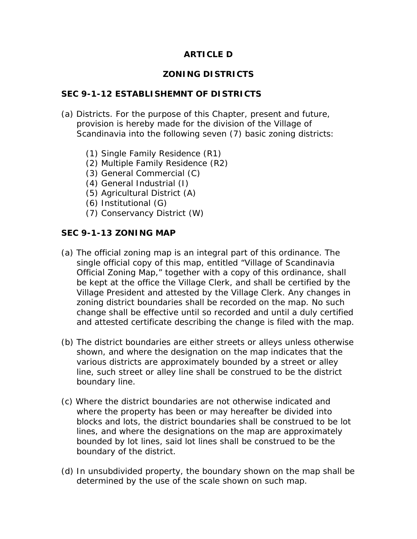# **ARTICLE D**

## **ZONING DISTRICTS**

#### **SEC 9-1-12 ESTABLISHEMNT OF DISTRICTS**

- (a) Districts. For the purpose of this Chapter, present and future, provision is hereby made for the division of the Village of Scandinavia into the following seven (7) basic zoning districts:
	- (1) Single Family Residence (R1)
	- (2) Multiple Family Residence (R2)
	- (3) General Commercial (C)
	- (4) General Industrial (I)
	- (5) Agricultural District (A)
	- (6) Institutional (G)
	- (7) Conservancy District (W)

#### **SEC 9-1-13 ZONING MAP**

- (a) The official zoning map is an integral part of this ordinance. The single official copy of this map, entitled "Village of Scandinavia Official Zoning Map," together with a copy of this ordinance, shall be kept at the office the Village Clerk, and shall be certified by the Village President and attested by the Village Clerk. Any changes in zoning district boundaries shall be recorded on the map. No such change shall be effective until so recorded and until a duly certified and attested certificate describing the change is filed with the map.
- (b) The district boundaries are either streets or alleys unless otherwise shown, and where the designation on the map indicates that the various districts are approximately bounded by a street or alley line, such street or alley line shall be construed to be the district boundary line.
- (c) Where the district boundaries are not otherwise indicated and where the property has been or may hereafter be divided into blocks and lots, the district boundaries shall be construed to be lot lines, and where the designations on the map are approximately bounded by lot lines, said lot lines shall be construed to be the boundary of the district.
- (d) In unsubdivided property, the boundary shown on the map shall be determined by the use of the scale shown on such map.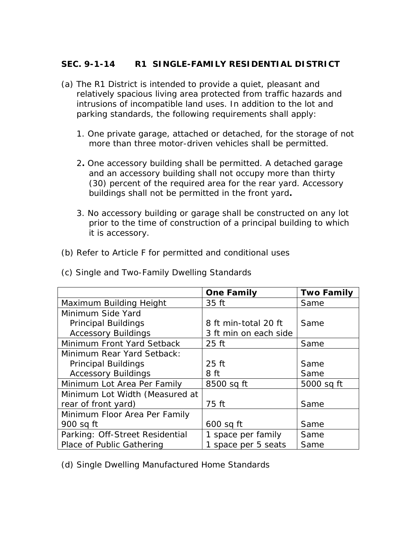## **SEC. 9-1-14 R1 SINGLE-FAMILY RESIDENTIAL DISTRICT**

- (a) The R1 District is intended to provide a quiet, pleasant and relatively spacious living area protected from traffic hazards and intrusions of incompatible land uses. In addition to the lot and parking standards, the following requirements shall apply:
	- 1. One private garage, attached or detached, for the storage of not more than three motor-driven vehicles shall be permitted.
	- 2**.** One accessory building shall be permitted. A detached garage and an accessory building shall not occupy more than thirty (30) percent of the required area for the rear yard. Accessory buildings shall not be permitted in the front yard*.*
	- 3. No accessory building or garage shall be constructed on any lot prior to the time of construction of a principal building to which it is accessory.
- (b) Refer to Article F for permitted and conditional uses

| (c) Single and Two-Family Dwelling Standards |  |  |  |  |  |  |  |
|----------------------------------------------|--|--|--|--|--|--|--|
|----------------------------------------------|--|--|--|--|--|--|--|

|                                 | <b>One Family</b>     | <b>Two Family</b> |
|---------------------------------|-----------------------|-------------------|
| Maximum Building Height         | 35 ft                 | Same              |
| Minimum Side Yard               |                       |                   |
| <b>Principal Buildings</b>      | 8 ft min-total 20 ft  | Same              |
| <b>Accessory Buildings</b>      | 3 ft min on each side |                   |
| Minimum Front Yard Setback      | 25 ft                 | Same              |
| Minimum Rear Yard Setback:      |                       |                   |
| <b>Principal Buildings</b>      | $25$ ft               | Same              |
| <b>Accessory Buildings</b>      | 8 ft                  | Same              |
| Minimum Lot Area Per Family     | 8500 sq ft            | 5000 sq ft        |
| Minimum Lot Width (Measured at  |                       |                   |
| rear of front yard)             | 75 ft                 | Same              |
| Minimum Floor Area Per Family   |                       |                   |
| 900 sq ft                       | $600$ sq ft           | Same              |
| Parking: Off-Street Residential | 1 space per family    | Same              |
| Place of Public Gathering       | 1 space per 5 seats   | Same              |

(d) Single Dwelling Manufactured Home Standards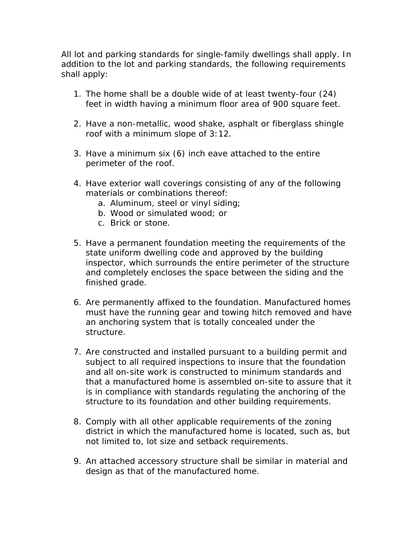All lot and parking standards for single-family dwellings shall apply. In addition to the lot and parking standards, the following requirements shall apply:

- 1. The home shall be a double wide of at least twenty-four (24) feet in width having a minimum floor area of 900 square feet.
- 2. Have a non-metallic, wood shake, asphalt or fiberglass shingle roof with a minimum slope of 3:12.
- 3. Have a minimum six (6) inch eave attached to the entire perimeter of the roof.
- 4. Have exterior wall coverings consisting of any of the following materials or combinations thereof:
	- a. Aluminum, steel or vinyl siding;
	- b. Wood or simulated wood; or
	- c. Brick or stone.
- 5. Have a permanent foundation meeting the requirements of the state uniform dwelling code and approved by the building inspector, which surrounds the entire perimeter of the structure and completely encloses the space between the siding and the finished grade.
- 6. Are permanently affixed to the foundation. Manufactured homes must have the running gear and towing hitch removed and have an anchoring system that is totally concealed under the structure.
- 7. Are constructed and installed pursuant to a building permit and subject to all required inspections to insure that the foundation and all on-site work is constructed to minimum standards and that a manufactured home is assembled on-site to assure that it is in compliance with standards regulating the anchoring of the structure to its foundation and other building requirements.
- 8. Comply with all other applicable requirements of the zoning district in which the manufactured home is located, such as, but not limited to, lot size and setback requirements.
- 9. An attached accessory structure shall be similar in material and design as that of the manufactured home.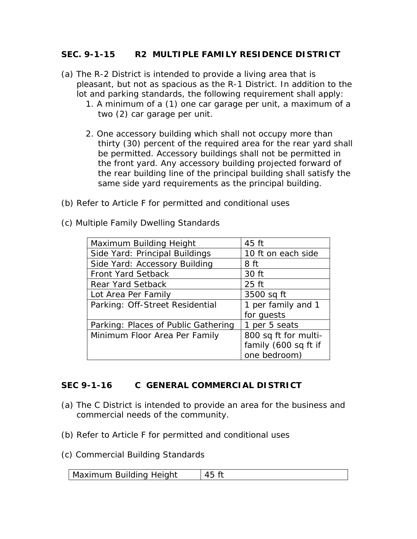#### **SEC. 9-1-15 R2 MULTIPLE FAMILY RESIDENCE DISTRICT**

- (a) The R-2 District is intended to provide a living area that is pleasant, but not as spacious as the R-1 District. In addition to the lot and parking standards, the following requirement shall apply:
	- 1. A minimum of a (1) one car garage per unit, a maximum of a two (2) car garage per unit.
	- 2. One accessory building which shall not occupy more than thirty (30) percent of the required area for the rear yard shall be permitted. Accessory buildings shall not be permitted in the front yard. Any accessory building projected forward of the rear building line of the principal building shall satisfy the same side yard requirements as the principal building.
- (b) Refer to Article F for permitted and conditional uses
- (c) Multiple Family Dwelling Standards

| Maximum Building Height             | 45 ft                |
|-------------------------------------|----------------------|
| Side Yard: Principal Buildings      | 10 ft on each side   |
| Side Yard: Accessory Building       | 8 ft                 |
| <b>Front Yard Setback</b>           | 30 ft                |
| <b>Rear Yard Setback</b>            | $25$ ft              |
| Lot Area Per Family                 | 3500 sq ft           |
| Parking: Off-Street Residential     | 1 per family and 1   |
|                                     | for quests           |
| Parking: Places of Public Gathering | 1 per 5 seats        |
| Minimum Floor Area Per Family       | 800 sq ft for multi- |
|                                     | family (600 sq ft if |
|                                     | one bedroom)         |

### **SEC 9-1-16 C GENERAL COMMERCIAL DISTRICT**

- (a) The C District is intended to provide an area for the business and commercial needs of the community.
- (b) Refer to Article F for permitted and conditional uses
- (c) Commercial Building Standards

| Maximum Building Height |  |
|-------------------------|--|
|-------------------------|--|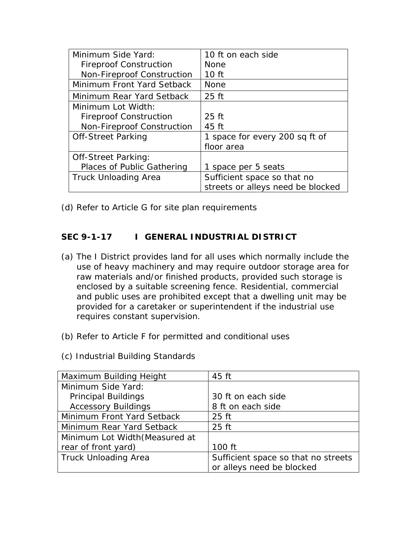| Minimum Side Yard:            | 10 ft on each side                |
|-------------------------------|-----------------------------------|
| <b>Fireproof Construction</b> | <b>None</b>                       |
| Non-Fireproof Construction    | 10 <sub>ft</sub>                  |
| Minimum Front Yard Setback    | <b>None</b>                       |
| Minimum Rear Yard Setback     | $25$ ft                           |
| Minimum Lot Width:            |                                   |
| <b>Fireproof Construction</b> | $25$ ft                           |
| Non-Fireproof Construction    | 45 ft                             |
| <b>Off-Street Parking</b>     | 1 space for every 200 sq ft of    |
|                               | floor area                        |
| <b>Off-Street Parking:</b>    |                                   |
| Places of Public Gathering    | 1 space per 5 seats               |
| Truck Unloading Area          | Sufficient space so that no       |
|                               | streets or alleys need be blocked |

(d) Refer to Article G for site plan requirements

# SEC 9-1-17 | GENERAL INDUSTRIAL DISTRICT

- (a) The I District provides land for all uses which normally include the use of heavy machinery and may require outdoor storage area for raw materials and/or finished products, provided such storage is enclosed by a suitable screening fence. Residential, commercial and public uses are prohibited except that a dwelling unit may be provided for a caretaker or superintendent if the industrial use requires constant supervision.
- (b) Refer to Article F for permitted and conditional uses
- (c) Industrial Building Standards

| Maximum Building Height        | 45 ft                               |
|--------------------------------|-------------------------------------|
| Minimum Side Yard:             |                                     |
| <b>Principal Buildings</b>     | 30 ft on each side                  |
| <b>Accessory Buildings</b>     | 8 ft on each side                   |
| Minimum Front Yard Setback     | $25$ ft                             |
| Minimum Rear Yard Setback      | $25$ ft                             |
| Minimum Lot Width (Measured at |                                     |
| rear of front yard)            | 100 ft                              |
| <b>Truck Unloading Area</b>    | Sufficient space so that no streets |
|                                | or alleys need be blocked           |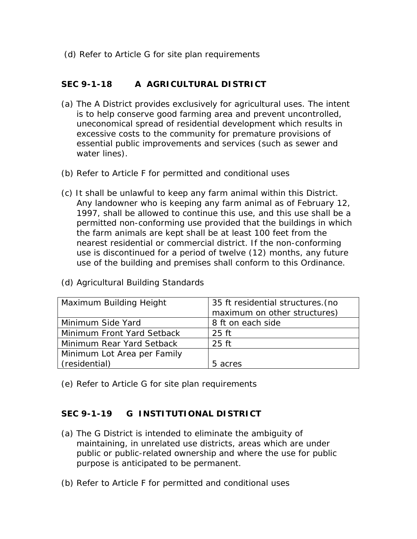(d) Refer to Article G for site plan requirements

# **SEC 9-1-18 A AGRICULTURAL DISTRICT**

- (a) The A District provides exclusively for agricultural uses. The intent is to help conserve good farming area and prevent uncontrolled, uneconomical spread of residential development which results in excessive costs to the community for premature provisions of essential public improvements and services (such as sewer and water lines).
- (b) Refer to Article F for permitted and conditional uses
- (c) It shall be unlawful to keep any farm animal within this District. Any landowner who is keeping any farm animal as of February 12, 1997, shall be allowed to continue this use, and this use shall be a permitted non-conforming use provided that the buildings in which the farm animals are kept shall be at least 100 feet from the nearest residential or commercial district. If the non-conforming use is discontinued for a period of twelve (12) months, any future use of the building and premises shall conform to this Ordinance.

| Maximum Building Height     | 35 ft residential structures. (no |  |
|-----------------------------|-----------------------------------|--|
|                             | maximum on other structures)      |  |
| Minimum Side Yard           | 8 ft on each side                 |  |
| Minimum Front Yard Setback  | $25$ ft                           |  |
| Minimum Rear Yard Setback   | $25$ ft                           |  |
| Minimum Lot Area per Family |                                   |  |
| (residential)               | 5 acres                           |  |

(d) Agricultural Building Standards

(e) Refer to Article G for site plan requirements

### **SEC 9-1-19 G INSTITUTIONAL DISTRICT**

- (a) The G District is intended to eliminate the ambiguity of maintaining, in unrelated use districts, areas which are under public or public-related ownership and where the use for public purpose is anticipated to be permanent.
- (b) Refer to Article F for permitted and conditional uses